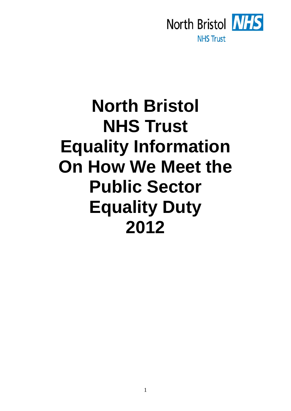

# **North Bristol NHS Trust Equality Information On How We Meet the Public Sector Equality Duty 2012**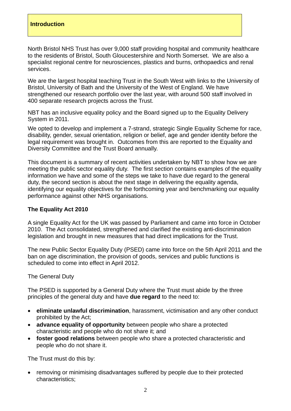### **Introduction**

North Bristol NHS Trust has over 9,000 staff providing hospital and community healthcare to the residents of Bristol, South Gloucestershire and North Somerset. We are also a specialist regional centre for neurosciences, plastics and burns, orthopaedics and renal services.

We are the largest hospital teaching Trust in the South West with links to the University of Bristol, University of Bath and the University of the West of England. We have strengthened our research portfolio over the last year, with around 500 staff involved in 400 separate research projects across the Trust.

NBT has an inclusive equality policy and the Board signed up to the Equality Delivery System in 2011.

We opted to develop and implement a 7-strand, strategic Single Equality Scheme for race, disability, gender, sexual orientation, religion or belief, age and gender identity before the legal requirement was brought in. Outcomes from this are reported to the Equality and Diversity Committee and the Trust Board annually.

This document is a summary of recent activities undertaken by NBT to show how we are meeting the public sector equality duty. The first section contains examples of the equality information we have and some of the steps we take to have due regard to the general duty, the second section is about the next stage in delivering the equality agenda, identifying our equality objectives for the forthcoming year and benchmarking our equality performance against other NHS organisations.

### **The Equality Act 2010**

A single Equality Act for the UK was passed by Parliament and came into force in October 2010. The Act consolidated, strengthened and clarified the existing anti-discrimination legislation and brought in new measures that had direct implications for the Trust.

The new Public Sector Equality Duty (PSED) came into force on the 5th April 2011 and the ban on age discrimination, the provision of goods, services and public functions is scheduled to come into effect in April 2012.

The General Duty

The PSED is supported by a General Duty where the Trust must abide by the three principles of the general duty and have **due regard** to the need to:

- **eliminate unlawful discrimination**, harassment, victimisation and any other conduct prohibited by the Act;
- **advance equality of opportunity** between people who share a protected characteristic and people who do not share it; and
- **foster good relations** between people who share a protected characteristic and people who do not share it.

The Trust must do this by:

 removing or minimising disadvantages suffered by people due to their protected characteristics;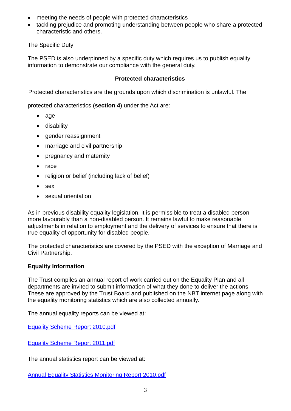- meeting the needs of people with protected characteristics
- tackling prejudice and promoting understanding between people who share a protected characteristic and others.

The Specific Duty

The PSED is also underpinned by a specific duty which requires us to publish equality information to demonstrate our compliance with the general duty.

## **Protected characteristics**

Protected characteristics are the grounds upon which discrimination is unlawful. The

protected characteristics (**section 4**) under the Act are:

- age
- disability
- gender reassignment
- marriage and civil partnership
- pregnancy and maternity
- $\bullet$  race
- religion or belief (including lack of belief)
- sex
- sexual orientation

As in previous disability equality legislation, it is permissible to treat a disabled person more favourably than a non-disabled person. It remains lawful to make reasonable adjustments in relation to employment and the delivery of services to ensure that there is true equality of opportunity for disabled people.

The protected characteristics are covered by the PSED with the exception of Marriage and Civil Partnership.

# **Equality Information**

The Trust compiles an annual report of work carried out on the Equality Plan and all departments are invited to submit information of what they done to deliver the actions. These are approved by the Trust Board and published on the NBT internet page along with the equality monitoring statistics which are also collected annually.

The annual equality reports can be viewed at:

[Equality Scheme Report 2010.pdf](http://www.nbt.nhs.uk/about_us/our_standards/equality__diversity/idoc.ashx?docid=a7ea958e-8331-4efd-9af7-7ceabd03c272&version=-1)

[Equality Scheme Report 2011.pdf](http://www.nbt.nhs.uk/about_us/our_standards/equality__diversity/idoc.ashx?docid=681c2306-6b92-489c-84db-fea82afe676b&version=-1)

The annual statistics report can be viewed at:

[Annual Equality Statistics Monitoring Report 2010.pdf](http://www.nbt.nhs.uk/about_us/our_standards/equality__diversity/idoc.ashx?docid=7fcadb9f-b010-4bb1-88f4-6b65b5236a5e&version=-1)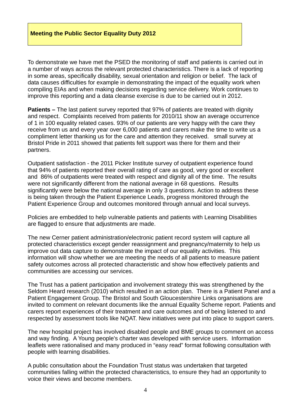To demonstrate we have met the PSED the monitoring of staff and patients is carried out in a number of ways across the relevant protected characteristics. There is a lack of reporting in some areas, specifically disability, sexual orientation and religion or belief. The lack of data causes difficulties for example in demonstrating the impact of the equality work when compiling EIAs and when making decisions regarding service delivery. Work continues to improve this reporting and a data cleanse exercise is due to be carried out in 2012.

**Patients –** The last patient survey reported that 97% of patients are treated with dignity and respect. Complaints received from patients for 2010/11 show an average occurrence of 1 in 100 equality related cases. 93% of our patients are very happy with the care they receive from us and every year over 6,000 patients and carers make the time to write us a compliment letter thanking us for the care and attention they received. small survey at Bristol Pride in 2011 showed that patients felt support was there for them and their partners.

Outpatient satisfaction - the 2011 Picker Institute survey of outpatient experience found that 94% of patients reported their overall rating of care as good, very good or excellent and 86% of outpatients were treated with respect and dignity all of the time. The results were not significantly different from the national average in 68 questions. Results significantly were below the national average in only 3 questions. Action to address these is being taken through the Patient Experience Leads, progress monitored through the Patient Experience Group and outcomes monitored through annual and local surveys.

Policies are embedded to help vulnerable patients and patients with Learning Disabilities are flagged to ensure that adjustments are made.

The new Cerner patient administration/electronic patient record system will capture all protected characteristics except gender reassignment and pregnancy/maternity to help us improve out data capture to demonstrate the impact of our equality activities. This information will show whether we are meeting the needs of all patients to measure patient safety outcomes across all protected characteristic and show how effectively patients and communities are accessing our services.

The Trust has a patient participation and involvement strategy this was strengthened by the Seldom Heard research (2010) which resulted in an action plan. There is a Patient Panel and a Patient Engagement Group. The Bristol and South Gloucestershire Links organisations are invited to comment on relevant documents like the annual Equality Scheme report. Patients and carers report experiences of their treatment and care outcomes and of being listened to and respected by assessment tools like NQAT. New initiatives were put into place to support carers.

The new hospital project has involved disabled people and BME groups to comment on access and way finding. A Young people's charter was developed with service users. Information leaflets were rationalised and many produced in "easy read" format following consultation with people with learning disabilities.

A public consultation about the Foundation Trust status was undertaken that targeted communities falling within the protected characteristics, to ensure they had an opportunity to voice their views and become members.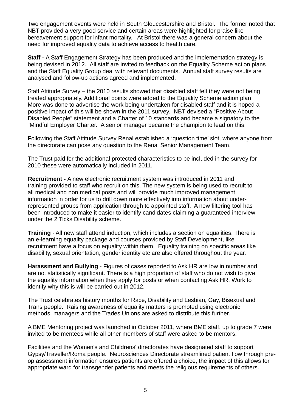Two engagement events were held in South Gloucestershire and Bristol. The former noted that NBT provided a very good service and certain areas were highlighted for praise like bereavement support for infant mortality. At Bristol there was a general concern about the need for improved equality data to achieve access to health care.

**Staff -** A Staff Engagement Strategy has been produced and the implementation strategy is being devised in 2012. All staff are invited to feedback on the Equality Scheme action plans and the Staff Equality Group deal with relevant documents. Annual staff survey results are analysed and follow-up actions agreed and implemented.

Staff Attitude Survey – the 2010 results showed that disabled staff felt they were not being treated appropriately. Additional points were added to the Equality Scheme action plan More was done to advertise the work being undertaken for disabled staff and it is hoped a positive impact of this will be shown in the 2011 survey. NBT devised a "Positive About Disabled People" statement and a Charter of 10 standards and became a signatory to the "Mindful Employer Charter." A senior manager became the champion to lead on this.

Following the Staff Attitude Survey Renal established a 'question time' slot, where anyone from the directorate can pose any question to the Renal Senior Management Team.

The Trust paid for the additional protected characteristics to be included in the survey for 2010 these were automatically included in 2011.

**Recruitment -** A new electronic recruitment system was introduced in 2011 and training provided to staff who recruit on this. The new system is being used to recruit to all medical and non medical posts and will provide much improved management information in order for us to drill down more effectively into information about underrepresented groups from application through to appointed staff. A new filtering tool has been introduced to make it easier to identify candidates claiming a guaranteed interview under the 2 Ticks Disability scheme.

**Training** - All new staff attend induction, which includes a section on equalities. There is an e-learning equality package and courses provided by Staff Development, like recruitment have a focus on equality within them. Equality training on specific areas like disability, sexual orientation, gender identity etc are also offered throughout the year.

**Harassment and Bullying** - Figures of cases reported to Ask HR are low in number and are not statistically significant. There is a high proportion of staff who do not wish to give the equality information when they apply for posts or when contacting Ask HR. Work to identify why this is will be carried out in 2012.

The Trust celebrates history months for Race, Disability and Lesbian, Gay, Bisexual and Trans people. Raising awareness of equality matters is promoted using electronic methods, managers and the Trades Unions are asked to distribute this further.

A BME Mentoring project was launched in October 2011, where BME staff, up to grade 7 were invited to be mentees while all other members of staff were asked to be mentors.

Facilities and the Women's and Childrens' directorates have designated staff to support Gypsy/Traveller/Roma people. Neurosciences Directorate streamlined patient flow through preop assessment information ensures patients are offered a choice, the impact of this allows for appropriate ward for transgender patients and meets the religious requirements of others.